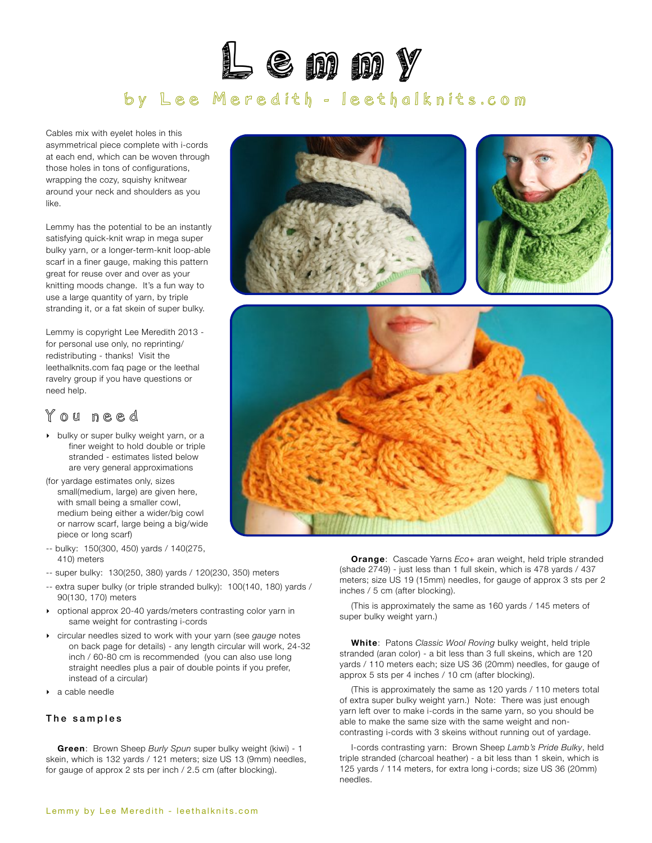. Cm my

# by Lee Meredith - leethalknits.com

Cables mix with eyelet holes in this asymmetrical piece complete with i-cords at each end, which can be woven through those holes in tons of configurations, wrapping the cozy, squishy knitwear around your neck and shoulders as you like.

Lemmy has the potential to be an instantly satisfying quick-knit wrap in mega super bulky yarn, or a longer-term-knit loop-able scarf in a finer gauge, making this pattern great for reuse over and over as your knitting moods change. It's a fun way to use a large quantity of yarn, by triple stranding it, or a fat skein of super bulky.

Lemmy is copyright Lee Meredith 2013 for personal use only, no reprinting/ redistributing - thanks! Visit the leethalknits.com faq page or the leethal ravelry group if you have questions or need help.

## You need

- ‣ bulky or super bulky weight yarn, or a finer weight to hold double or triple stranded - estimates listed below are very general approximations
- (for yardage estimates only, sizes small(medium, large) are given here, with small being a smaller cowl, medium being either a wider/big cowl or narrow scarf, large being a big/wide piece or long scarf)
- -- bulky: 150(300, 450) yards / 140(275, 410) meters
- -- super bulky: 130(250, 380) yards / 120(230, 350) meters
- -- extra super bulky (or triple stranded bulky): 100(140, 180) yards / 90(130, 170) meters
- ‣ optional approx 20-40 yards/meters contrasting color yarn in same weight for contrasting i-cords
- ‣ circular needles sized to work with your yarn (see *gauge* notes on back page for details) - any length circular will work, 24-32 inch / 60-80 cm is recommended (you can also use long straight needles plus a pair of double points if you prefer, instead of a circular)
- ‣ a cable needle

### The samples

**Green**: Brown Sheep *Burly Spun* super bulky weight (kiwi) - 1 skein, which is 132 yards / 121 meters; size US 13 (9mm) needles, for gauge of approx 2 sts per inch / 2.5 cm (after blocking).







**Orange**: Cascade Yarns *Eco+* aran weight, held triple stranded (shade 2749) - just less than 1 full skein, which is 478 yards / 437 meters; size US 19 (15mm) needles, for gauge of approx 3 sts per 2 inches / 5 cm (after blocking).

(This is approximately the same as 160 yards / 145 meters of super bulky weight yarn.)

**White**: Patons *Classic Wool Roving* bulky weight, held triple stranded (aran color) - a bit less than 3 full skeins, which are 120 yards / 110 meters each; size US 36 (20mm) needles, for gauge of approx 5 sts per 4 inches / 10 cm (after blocking).

(This is approximately the same as 120 yards / 110 meters total of extra super bulky weight yarn.) Note: There was just enough yarn left over to make i-cords in the same yarn, so you should be able to make the same size with the same weight and noncontrasting i-cords with 3 skeins without running out of yardage.

I-cords contrasting yarn: Brown Sheep *Lamb's Pride Bulky*, held triple stranded (charcoal heather) - a bit less than 1 skein, which is 125 yards / 114 meters, for extra long i-cords; size US 36 (20mm) needles.